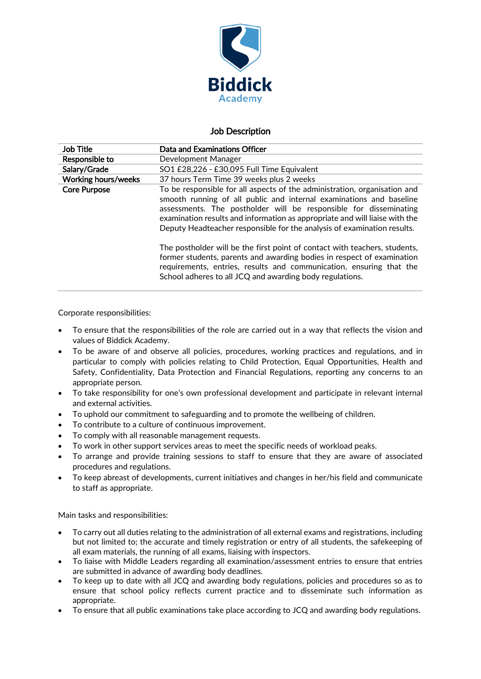

# Job Description

| <b>Job Title</b>           | Data and Examinations Officer                                                                                                                                                                                                                                                                                                                                                   |
|----------------------------|---------------------------------------------------------------------------------------------------------------------------------------------------------------------------------------------------------------------------------------------------------------------------------------------------------------------------------------------------------------------------------|
| Responsible to             | Development Manager                                                                                                                                                                                                                                                                                                                                                             |
| Salary/Grade               | SO1 £28,226 - £30,095 Full Time Equivalent                                                                                                                                                                                                                                                                                                                                      |
| <b>Working hours/weeks</b> | 37 hours Term Time 39 weeks plus 2 weeks                                                                                                                                                                                                                                                                                                                                        |
| <b>Core Purpose</b>        | To be responsible for all aspects of the administration, organisation and<br>smooth running of all public and internal examinations and baseline<br>assessments. The postholder will be responsible for disseminating<br>examination results and information as appropriate and will liaise with the<br>Deputy Headteacher responsible for the analysis of examination results. |
|                            | The postholder will be the first point of contact with teachers, students,<br>former students, parents and awarding bodies in respect of examination<br>requirements, entries, results and communication, ensuring that the<br>School adheres to all JCQ and awarding body regulations.                                                                                         |

Corporate responsibilities:

- To ensure that the responsibilities of the role are carried out in a way that reflects the vision and values of Biddick Academy.
- To be aware of and observe all policies, procedures, working practices and regulations, and in particular to comply with policies relating to Child Protection, Equal Opportunities, Health and Safety, Confidentiality, Data Protection and Financial Regulations, reporting any concerns to an appropriate person.
- To take responsibility for one's own professional development and participate in relevant internal and external activities.
- To uphold our commitment to safeguarding and to promote the wellbeing of children.
- To contribute to a culture of continuous improvement.
- To comply with all reasonable management requests.
- To work in other support services areas to meet the specific needs of workload peaks.
- To arrange and provide training sessions to staff to ensure that they are aware of associated procedures and regulations.
- To keep abreast of developments, current initiatives and changes in her/his field and communicate to staff as appropriate.

Main tasks and responsibilities:

- To carry out all duties relating to the administration of all external exams and registrations, including but not limited to; the accurate and timely registration or entry of all students, the safekeeping of all exam materials, the running of all exams, liaising with inspectors.
- To liaise with Middle Leaders regarding all examination/assessment entries to ensure that entries are submitted in advance of awarding body deadlines.
- To keep up to date with all JCQ and awarding body regulations, policies and procedures so as to ensure that school policy reflects current practice and to disseminate such information as appropriate.
- To ensure that all public examinations take place according to JCQ and awarding body regulations.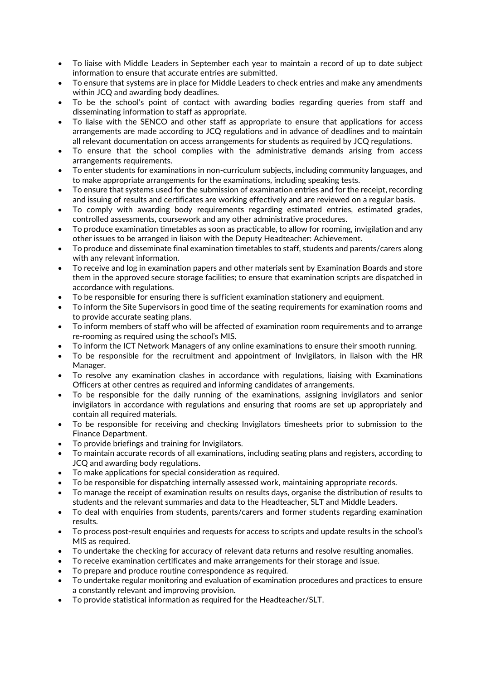- To liaise with Middle Leaders in September each year to maintain a record of up to date subject information to ensure that accurate entries are submitted.
- To ensure that systems are in place for Middle Leaders to check entries and make any amendments within JCQ and awarding body deadlines.
- To be the school's point of contact with awarding bodies regarding queries from staff and disseminating information to staff as appropriate.
- To liaise with the SENCO and other staff as appropriate to ensure that applications for access arrangements are made according to JCQ regulations and in advance of deadlines and to maintain all relevant documentation on access arrangements for students as required by JCQ regulations.
- To ensure that the school complies with the administrative demands arising from access arrangements requirements.
- To enter students for examinations in non-curriculum subjects, including community languages, and to make appropriate arrangements for the examinations, including speaking tests.
- To ensure that systems used for the submission of examination entries and for the receipt, recording and issuing of results and certificates are working effectively and are reviewed on a regular basis.
- To comply with awarding body requirements regarding estimated entries, estimated grades, controlled assessments, coursework and any other administrative procedures.
- To produce examination timetables as soon as practicable, to allow for rooming, invigilation and any other issues to be arranged in liaison with the Deputy Headteacher: Achievement.
- To produce and disseminate final examination timetables to staff, students and parents/carers along with any relevant information.
- To receive and log in examination papers and other materials sent by Examination Boards and store them in the approved secure storage facilities; to ensure that examination scripts are dispatched in accordance with regulations.
- To be responsible for ensuring there is sufficient examination stationery and equipment.
- To inform the Site Supervisors in good time of the seating requirements for examination rooms and to provide accurate seating plans.
- To inform members of staff who will be affected of examination room requirements and to arrange re-rooming as required using the school's MIS.
- To inform the ICT Network Managers of any online examinations to ensure their smooth running.
- To be responsible for the recruitment and appointment of Invigilators, in liaison with the HR Manager.
- To resolve any examination clashes in accordance with regulations, liaising with Examinations Officers at other centres as required and informing candidates of arrangements.
- To be responsible for the daily running of the examinations, assigning invigilators and senior invigilators in accordance with regulations and ensuring that rooms are set up appropriately and contain all required materials.
- To be responsible for receiving and checking Invigilators timesheets prior to submission to the Finance Department.
- To provide briefings and training for Invigilators.
- To maintain accurate records of all examinations, including seating plans and registers, according to JCQ and awarding body regulations.
- To make applications for special consideration as required.
- To be responsible for dispatching internally assessed work, maintaining appropriate records.
- To manage the receipt of examination results on results days, organise the distribution of results to students and the relevant summaries and data to the Headteacher, SLT and Middle Leaders.
- To deal with enquiries from students, parents/carers and former students regarding examination results.
- To process post-result enquiries and requests for access to scripts and update results in the school's MIS as required.
- To undertake the checking for accuracy of relevant data returns and resolve resulting anomalies.
- To receive examination certificates and make arrangements for their storage and issue.
- To prepare and produce routine correspondence as required.
- To undertake regular monitoring and evaluation of examination procedures and practices to ensure a constantly relevant and improving provision.
- To provide statistical information as required for the Headteacher/SLT.